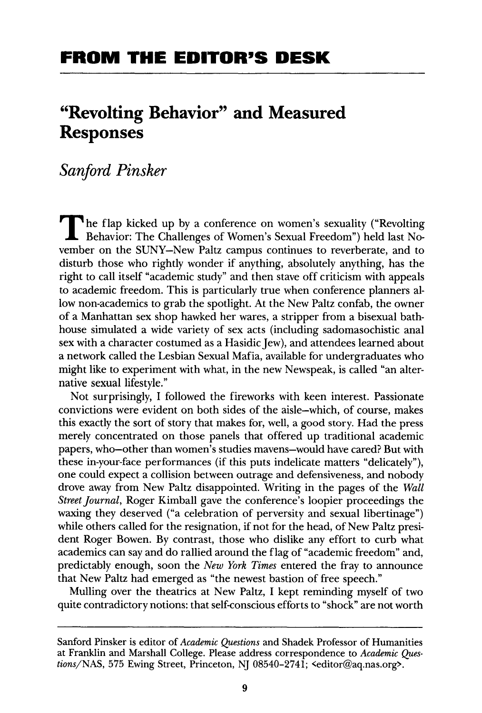## **"Revolting Behavior" and Measured Responses**

## *Sanford Pinsker*

The flap kicked up by a conference on women's sexuality ("Revolting Behavior: The Challenges of Women's Sexual Freedom") held last November on the SUNY-New Paltz campus continues to reverberate, and to disturb those who rightly wonder if anything, absolutely anything, has the right to call itself "academic study" and then stave off criticism with appeals to academic freedom. This is particularly true when conference planners allow non-academics to grab the spotlight. At the New Paltz confab, the owner of a Manhattan sex shop hawked her wares, a stripper from a bisexual bathhouse simulated a wide variety of sex acts (including sadomasochistic anal sex with a character costumed as a Hasidic Jew), and attendees learned about a network called the Lesbian Sexual Mafia, available for undergraduates who might like to experiment with what, in the new Newspeak, is called "an alternative sexual lifestyle."

Not surprisingly, I followed the fireworks with keen interest. Passionate convictions were evident on both sides of the aisle-which, of course, makes this exactly the sort of story that makes for, well, a good story. Had the press merely concentrated on those panels that offered up traditional academic papers, who-other than women's studies mavens-would have cared? But with these in-your-face performances (if this puts indelicate matters "delicately"), one could expect a collision between outrage and defensiveness, and nobody drove away from New Paltz disappointed. Writing in the pages of the *Wall Street Journal,* Roger Kimball gave the conference's loopier proceedings the waxing they deserved ("a celebration of perversity and sexual libertinage") while others called for the resignation, if not for the head, of New Paltz president Roger Bowen. By contrast, those who dislike any effort to curb what academics can say and do rallied around the flag of "academic freedom" and, predictably enough, soon the *New York Times* entered the fray to announce that New Paltz had emerged as "the newest bastion of free speech."

Mulling over the theatrics at New Paltz, I kept reminding myself of two quite contradictory notions: that self-conscious efforts to "shock" are not worth

Sanford Pinsker is editor of *Academic Questions* and Shadek Professor of Humanities at Franklin and Marshall College. Please address correspondence to *Academic Questions/NAS,* 575 Ewing Street, Princeton, NJ 08540-2741; <editor@aq.nas.org>.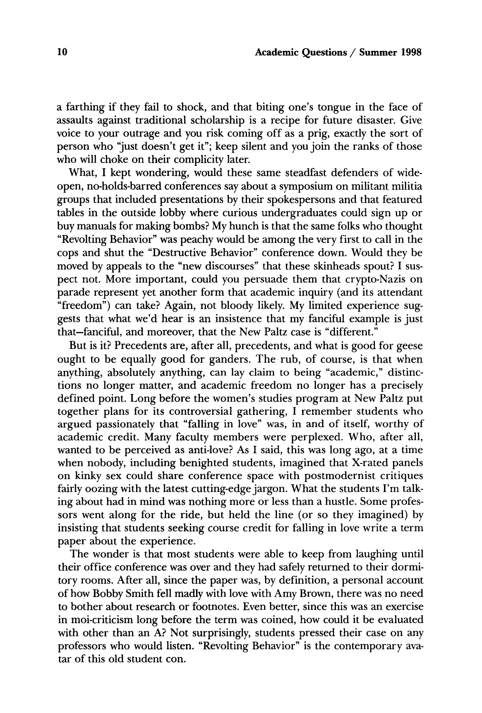a farthing if they fail to shock, and that biting one's tongue in the face of assaults against traditional scholarship is a recipe for future disaster. Give voice to your outrage and you risk coming off as a prig, exactly the sort of person who "just doesn't get it"; keep silent and you join the ranks of those who will choke on their complicity later.

What, I kept wondering, would these same steadfast defenders of wideopen, no-holds-barred conferences say about a symposium on militant militia groups that included presentations by their spokespersons and that featured tables in the outside lobby where curious undergraduates could sign up or buy manuals for making bombs? My hunch is that the same folks who thought "Revolting Behavior" was peachy would be among the very first to call in the cops and shut the "Destructive Behavior" conference down. Would they be moved by appeals to the "new discourses" that these skinheads spout? I suspect not. More important, could you persuade them that crypto-Nazis on parade represent yet another form that academic inquiry (and its attendant "freedom") can take? Again, not bloody likely. My limited experience suggests that what we'd hear is an insistence that my fanciful example is just that-fanciful, and moreover, that the New Paltz case is "different."

But is it? Precedents are, after all, precedents, and what is good for geese ought to be equally good for ganders. The rub, of course, is that when anything, absolutely anything, can lay claim to being "academic," distinctions no longer matter, and academic freedom no longer has a precisely defined point. Long before the women's studies program at New Paltz put together plans for its controversial gathering, I remember students who argued passionately that "falling in love" was, in and of itself, worthy of academic credit. Many faculty members were perplexed. Who, after all, wanted to be perceived as anti-love? As I said, this was long ago, at a time when nobody, including benighted students, imagined that X-rated panels on kinky sex could share conference space with postmodernist critiques fairly oozing with the latest cutting-edge jargon. What the students I'm talking about had in mind was nothing more or less than a hustle. Some professors went along for the ride, but held the line (or so they imagined) by insisting that students seeking course credit for falling in love write a term paper about the experience.

The wonder is that most students were able to keep from laughing until their office conference was over and they had safely returned to their dormitory rooms. After all, since the paper was, by definition, a personal account of how Bobby Smith fell madly with love with Amy Brown, there was no need to bother about research or footnotes. Even better, since this was an exercise in moi-criticism long before the term was coined, how could it be evaluated with other than an A? Not surprisingly, students pressed their case on any professors who would listen. "Revolting Behavior" is the contemporary avatar of this old student con.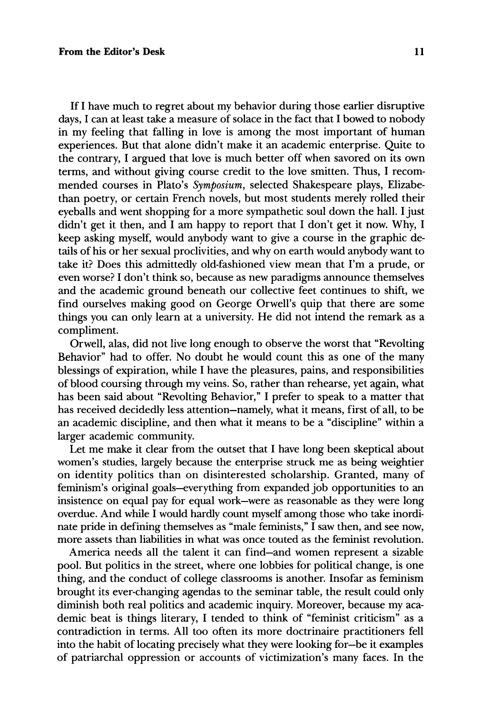If I have much to regret about my behavior during those earlier disruptive days, I can at least take a measure of solace in the fact that I bowed to nobody in my feeling that falling in love is among the most important of human experiences. But that alone didn't make it an academic enterprise. Quite to the contrary, I argued that love is much better off when savored on its own terms, and without giving course credit to the love smitten. Thus, I recommended courses in Plato's *Symposium,* selected Shakespeare plays, Elizabethan poetry, or certain French novels, but most students merely rolled their eyeballs and went shopping for a more sympathetic soul down the hall. I just didn't get it then, and I am happy to report that I don't get it now. Why, I keep asking myself, would anybody want to give a course in the graphic details of his or her sexual proclivities, and why on earth would anybody want to take it? Does this admittedly old-fashioned view mean that I'm a prude, or even worse? I don't think so, because as new paradigms announce themselves and the academic ground beneath our collective feet continues to shift, we find ourselves making good on George Orwell's quip that there are some things you can only learn at a university. He did not intend the remark as a compliment.

Orwell, alas, did not live long enough to observe the worst that "Revolting Behavior" had to offer. No doubt he would count this as one of the many blessings of expiration, while I have the pleasures, pains, and responsibilities of blood coursing through my veins. So, rather than rehearse, yet again, what has been said about "Revolting Behavior," I prefer to speak to a matter that has received decidedly less attention-namely, what it means, first of all, to be an academic discipline, and then what it means to be a "discipline" within a larger academic community.

Let me make it clear from the outset that I have long been skeptical about women's studies, largely because the enterprise struck me as being weightier on identity politics than on disinterested scholarship. Granted, many of feminism's original goals-everything from expanded job opportunities to an insistence on equal pay for equal work-were as reasonable as they were long overdue. And while I would hardly count myself among those who take inordinate pride in defining themselves as "male feminists," I saw then, and see now, more assets than liabilities in what was once touted as the feminist revolution.

America needs all the talent it can find-and women represent a sizable pool. But politics in the street, where one lobbies for political change, is one thing, and the conduct of college classrooms is another. Insofar as feminism brought its ever-changing agendas to the seminar table, the result could only diminish both real politics and academic inquiry. Moreover, because my academic beat is things literary, I tended to think of "feminist criticism" as a contradiction in terms. All too often its more doctrinaire practitioners fell into the habit of locating precisely what they were looking for-be it examples of patriarchal oppression or accounts of victimization's many faces. In the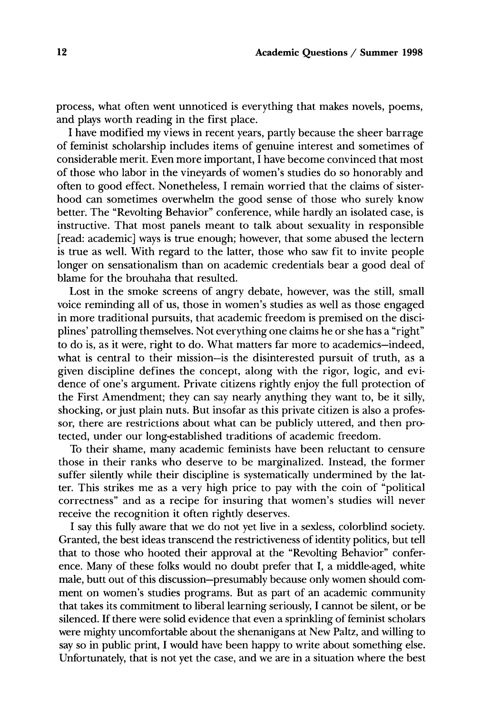process, what often went unnoticed is everything that makes novels, poems, and plays worth reading in the first place.

I have modified my views in recent years, partly because the sheer barrage of feminist scholarship includes items of genuine interest and sometimes of considerable merit. Even more important, I have become convinced that most of those who labor in the vineyards of women's studies do so honorably and often to good effect. Nonetheless, I remain worried that the claims of sisterhood can sometimes overwhelm the good sense of those who surely know better. The "Revolting Behavior" conference, while hardly an isolated case, is instructive. That most panels meant to talk about sexuality in responsible [read: academic] ways is true enough; however, that some abused the lectern is true as well. With regard to the latter, those who saw fit to invite people longer on sensationalism than on academic credentials bear a good deal of blame for the brouhaha that resulted.

Lost in the smoke screens of angry debate, however, was the still, small voice reminding all of us, those in women's studies as well as those engaged in more traditional pursuits, that academic freedom is premised on the disciplines' patrolling themselves. Not everything one claims he or she has a "right" to do is, as it were, right to do. What matters far more to academics-indeed, what is central to their mission-is the disinterested pursuit of truth, as a given discipline defines the concept, along with the rigor, logic, and evidence of one's argument. Private citizens rightly enjoy the full protection of the First Amendment; they can say nearly anything they want to, be it silly, shocking, or just plain nuts. But insofar as this private citizen is also a professor, there are restrictions about what can be publicly uttered, and then protected, under our long-established traditions of academic freedom.

To their shame, many academic feminists have been reluctant to censure those in their ranks who deserve to be marginalized. Instead, the former suffer silently while their discipline is systematically undermined by the latter. This strikes me as a very high price to pay with the coin of "political correctness" and as a recipe for insuring that women's studies will never receive the recognition it often rightly deserves.

I say this fully aware that we do not yet live in a sexless, colorblind society. Granted, the best ideas transcend the restrictiveness of identity politics, but tell that to those who hooted their approval at the "Revolting Behavior" conference. Many of these folks would no doubt prefer that I, a middle-aged, white male, butt out of this discussion-presumably because only women should comment on women's studies programs. But as part of an academic community that takes its commitment to liberal learning seriously, I cannot be silent, or be silenced. If there were solid evidence that even a sprinkling of feminist scholars were mighty uncomfortable about the shenanigans at New Paltz, and willing to say so in public print, I would have been happy to write about something else. Unfortunately, that is not yet the case, and we are in a situation where the best